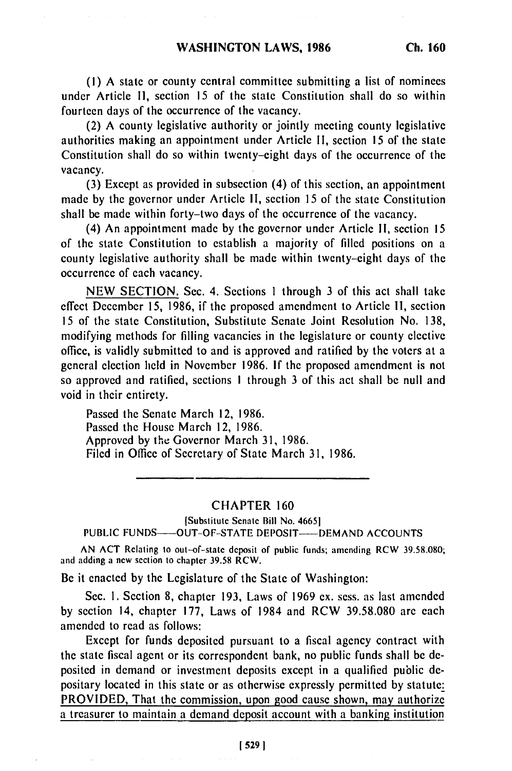(I) A state or county central committee submitting a list of nominees under Article **11,** section 15 of the state Constitution shall do so within fourteen days of the occurrence of the vacancy.

(2) A county legislative authority or jointly meeting county legislative authorities making an appointment under Article II, section 15 of the state Constitution shall do so within twenty-eight days of the occurrence of the vacancy.

(3) Except as provided in subsection (4) of this section, an appointment made by the governor under Article **11,** section 15 of the state Constitution shall be made within forty-two days of the occurrence of the vacancy.

(4) An appointment made by the governor under Article **I1,** section 15 of the state Constitution to establish a majority of filled positions on a county legislative authority shall be made within twenty-eight days of the occurrence of each vacancy.

NEW SECTION. Sec. 4. Sections 1 through 3 of this act shall take effect December 15, 1986, if the proposed amendment to Article **11,** section 15 of the state Constitution, Substitute Senate Joint Resolution No. 138, modifying methods for filling vacancies in the legislature or county elective office, is validly submitted to and is approved and ratified by the voters at a general election held in November 1986. If the proposed amendment is not so approved and ratified, sections **I** through 3 of this act shall be null and void in their entirety.

Passed the Senate March 12, 1986. Passed the House March 12, 1986. Approved by the Governor March 31, 1986. Filed in Office of Secretary of State March 31, 1986.

## CHAPTER 160

ISubstitute Senate Bill No. 46651

PUBLIC FUNDS---- OUT-OF-STATE DEPOSIT---- DEMAND ACCOUNTS

AN ACT Relating to out-of-state deposit of public funds; amending RCW 39.58.080; and adding a new section to chapter 39.58 RCW.

Be it enacted by the Legislature of the State of Washington:

Sec. **1.** Section 8, chapter 193, Laws of 1969 ex. sess. as last amended by section 14, chapter 177, Laws of 1984 and RCW 39.58.080 are each amended to read as follows:

Except for funds deposited pursuant to a fiscal agency contract with the state fiscal agent or its correspondent bank, no public funds shall be deposited in demand or investment deposits except in a qualified public depositary located in this state or as otherwise expressly permitted by statute: PROVIDED, That the commission, upon good cause shown, may authorize a treasurer to maintain a demand deposit account with a banking institution